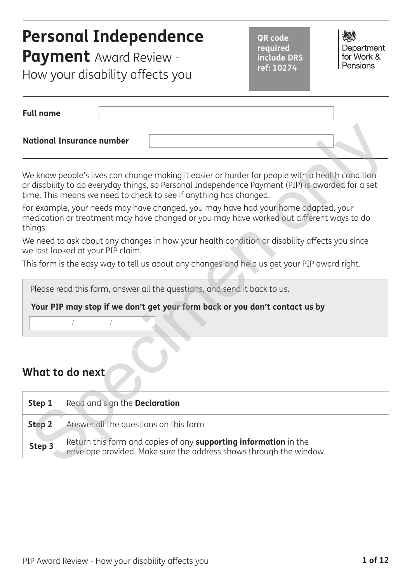# **Personal Independence**

**Payment** Award Review - How your disability affects you

**QR code required include DRS ref: 10274**

Department for Work & Pensions

| <b>Full name</b>                 |  |  |
|----------------------------------|--|--|
| <b>National Insurance number</b> |  |  |

### **What to do next**

| <b>National Insurance number</b>                           |                                                                                                                                                                                                                                                                          |
|------------------------------------------------------------|--------------------------------------------------------------------------------------------------------------------------------------------------------------------------------------------------------------------------------------------------------------------------|
|                                                            | We know people's lives can change making it easier or harder for people with a health condition<br>or disability to do everyday things, so Personal Independence Payment (PIP) is awarded for a set<br>time. This means we need to check to see if anything has changed. |
| things.                                                    | For example, your needs may have changed, you may have had your home adapted, your<br>medication or treatment may have changed or you may have worked out different ways to do                                                                                           |
| we last looked at your PIP claim.                          | We need to ask about any changes in how your health condition or disability affects you since                                                                                                                                                                            |
|                                                            | This form is the easy way to tell us about any changes and help us get your PIP award right.                                                                                                                                                                             |
|                                                            | Please read this form, answer all the questions, and send it back to us.<br>Your PIP may stop if we don't get your form back or you don't contact us by                                                                                                                  |
| What to do next                                            |                                                                                                                                                                                                                                                                          |
| Step 1<br>Read and sign the <b>Declaration</b>             |                                                                                                                                                                                                                                                                          |
| Answer all the questions on this form<br>Step <sub>2</sub> |                                                                                                                                                                                                                                                                          |
| Step 3                                                     | Return this form and copies of any supporting information in the<br>envelope provided. Make sure the address shows through the window.                                                                                                                                   |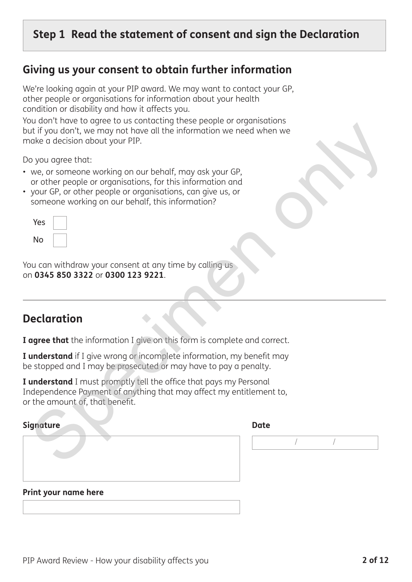## **Step 1 Read the statement of consent and sign the Declaration**

### **Giving us your consent to obtain further information**

We're looking again at your PIP award. We may want to contact your GP, other people or organisations for information about your health condition or disability and how it affects you.

You don't have to agree to us contacting these people or organisations but if you don't, we may not have all the information we need when we make a decision about your PIP.

- we, or someone working on our behalf, may ask your GP, or other people or organisations, for this information and
- your GP, or other people or organisations, can give us, or someone working on our behalf, this information?

| Yes |  |
|-----|--|
| No  |  |

## **Declaration**

| Print your name here                                                                                                                                                           |             |
|--------------------------------------------------------------------------------------------------------------------------------------------------------------------------------|-------------|
|                                                                                                                                                                                |             |
| Signature                                                                                                                                                                      | <b>Date</b> |
| I understand I must promptly tell the office that pays my Personal<br>Independence Payment of anything that may affect my entitlement to,<br>or the amount of, that benefit.   |             |
| I understand if I give wrong or incomplete information, my benefit may<br>be stopped and I may be prosecuted or may have to pay a penalty.                                     |             |
| I agree that the information I give on this form is complete and correct.                                                                                                      |             |
| <b>Declaration</b>                                                                                                                                                             |             |
| You can withdraw your consent at any time by calling us<br>on 0345 850 3322 or 0300 123 9221.                                                                                  |             |
| Yes<br>No                                                                                                                                                                      |             |
| or other people or organisations, for this information and<br>• your GP, or other people or organisations, can give us, or<br>someone working on our behalf, this information? |             |
| Do you agree that:<br>• we, or someone working on our behalf, may ask your GP,                                                                                                 |             |
| make a decision about your PIP.                                                                                                                                                |             |
| roa don't nave to agree to as contacting these people or organisations<br>but if you don't, we may not have all the information we need when we                                |             |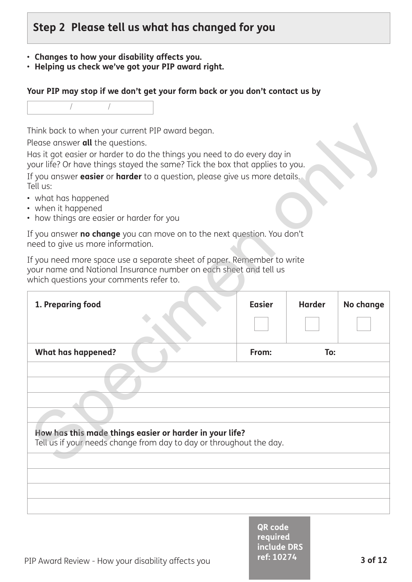## **Step 2 Please tell us what has changed for you**

- **Changes to how your disability affects you.**
- **Helping us check we've got your PIP award right.**

#### **Your PIP may stop if we don't get your form back or you don't contact us by**

- what has happened
- when it happened
- how things are easier or harder for you

| Think back to when your current PIP award began.<br>Please answer all the questions.<br>Has it got easier or harder to do the things you need to do every day in<br>your life? Or have things stayed the same? Tick the box that applies to you.<br>If you answer easier or harder to a question, please give us more details.<br>Tell us:<br>• what has happened<br>• when it happened<br>• how things are easier or harder for you<br>If you answer no change you can move on to the next question. You don't<br>need to give us more information. |               |               |           |
|------------------------------------------------------------------------------------------------------------------------------------------------------------------------------------------------------------------------------------------------------------------------------------------------------------------------------------------------------------------------------------------------------------------------------------------------------------------------------------------------------------------------------------------------------|---------------|---------------|-----------|
| If you need more space use a separate sheet of paper. Remember to write<br>your name and National Insurance number on each sheet and tell us<br>which questions your comments refer to.                                                                                                                                                                                                                                                                                                                                                              |               |               |           |
| 1. Preparing food                                                                                                                                                                                                                                                                                                                                                                                                                                                                                                                                    | <b>Easier</b> | <b>Harder</b> | No change |
| <b>What has happened?</b><br>How has this made things easier or harder in your life?<br>Tell us if your needs change from day to day or throughout the day.                                                                                                                                                                                                                                                                                                                                                                                          | From:         | To:           |           |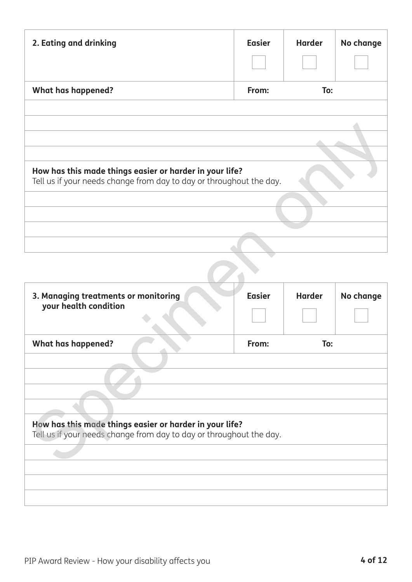| 2. Eating and drinking                                                                                                         | <b>Easier</b> | <b>Harder</b> | No change |
|--------------------------------------------------------------------------------------------------------------------------------|---------------|---------------|-----------|
| <b>What has happened?</b>                                                                                                      | From:         | To:           |           |
|                                                                                                                                |               |               |           |
|                                                                                                                                |               |               |           |
| How has this made things easier or harder in your life?<br>Tell us if your needs change from day to day or throughout the day. |               |               |           |
|                                                                                                                                |               |               |           |
|                                                                                                                                |               |               |           |
|                                                                                                                                |               |               |           |
| 3. Managing treatments or monitoring                                                                                           | <b>Easier</b> | <b>Harder</b> | No change |
| your health condition                                                                                                          |               |               |           |
| <b>What has happened?</b>                                                                                                      | From:         | To:           |           |
|                                                                                                                                |               |               |           |
|                                                                                                                                |               |               |           |
| How has this made things easier or harder in your life?<br>Tell us if your needs change from day to day or throughout the day. |               |               |           |
|                                                                                                                                |               |               |           |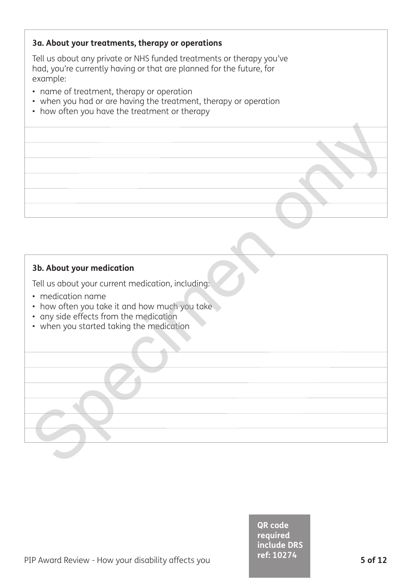#### **3a. About your treatments, therapy or operations**

Tell us about any private or NHS funded treatments or therapy you've had, you're currently having or that are planned for the future, for example:

- name of treatment, therapy or operation
- when you had or are having the treatment, therapy or operation
- how often you have the treatment or therapy

#### **3b. About your medication**

Tell us about your current medication, including:

- medication name
- how often you take it and how much you take **3b. About your medication**<br>
Tell us obout your current medication, including:<br>
In medication nome<br>
In convicting your location only with the section of the conversion of the conversion<br>
In when you started taking the medi
- any side effects from the medication
- when you started taking the medication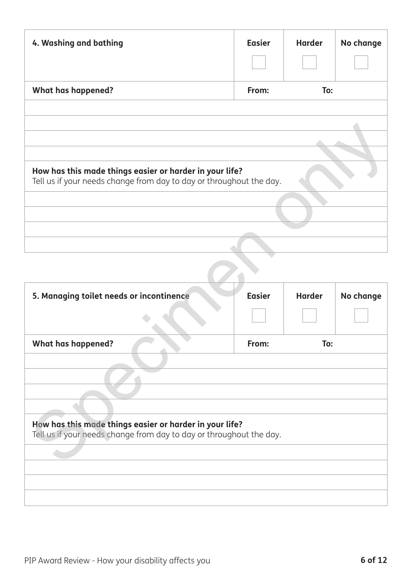| 4. Washing and bathing                                                                                                         | <b>Easier</b> | <b>Harder</b> | No change |
|--------------------------------------------------------------------------------------------------------------------------------|---------------|---------------|-----------|
| <b>What has happened?</b>                                                                                                      | From:         | To:           |           |
|                                                                                                                                |               |               |           |
|                                                                                                                                |               |               |           |
|                                                                                                                                |               |               |           |
|                                                                                                                                |               |               |           |
| How has this made things easier or harder in your life?<br>Tell us if your needs change from day to day or throughout the day. |               |               |           |
|                                                                                                                                |               |               |           |
|                                                                                                                                |               |               |           |
|                                                                                                                                |               |               |           |
|                                                                                                                                |               |               |           |

| How has this made things easier or harder in your life?<br>Tell us if your needs change from day to day or throughout the day. |               |               |           |
|--------------------------------------------------------------------------------------------------------------------------------|---------------|---------------|-----------|
|                                                                                                                                |               |               |           |
|                                                                                                                                |               |               |           |
|                                                                                                                                |               |               |           |
|                                                                                                                                |               |               |           |
|                                                                                                                                |               |               |           |
|                                                                                                                                |               |               |           |
|                                                                                                                                |               |               |           |
|                                                                                                                                |               |               |           |
| 5. Managing toilet needs or incontinence                                                                                       | <b>Easier</b> | <b>Harder</b> | No change |
|                                                                                                                                |               |               |           |
|                                                                                                                                |               |               |           |
|                                                                                                                                |               |               |           |
| <b>What has happened?</b>                                                                                                      | From:         | To:           |           |
|                                                                                                                                |               |               |           |
|                                                                                                                                |               |               |           |
|                                                                                                                                |               |               |           |
|                                                                                                                                |               |               |           |
|                                                                                                                                |               |               |           |
|                                                                                                                                |               |               |           |
|                                                                                                                                |               |               |           |
| How has this made things easier or harder in your life?                                                                        |               |               |           |
| Tell us if your needs change from day to day or throughout the day.                                                            |               |               |           |
|                                                                                                                                |               |               |           |
|                                                                                                                                |               |               |           |
|                                                                                                                                |               |               |           |
|                                                                                                                                |               |               |           |
|                                                                                                                                |               |               |           |
|                                                                                                                                |               |               |           |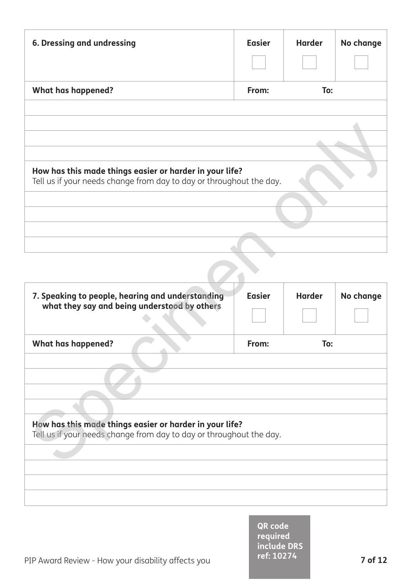| <b>6. Dressing and undressing</b>                                                                                              | <b>Easier</b> | <b>Harder</b> | No change |  |
|--------------------------------------------------------------------------------------------------------------------------------|---------------|---------------|-----------|--|
| <b>What has happened?</b>                                                                                                      | From:         | To:           |           |  |
|                                                                                                                                |               |               |           |  |
|                                                                                                                                |               |               |           |  |
|                                                                                                                                |               |               |           |  |
| How has this made things easier or harder in your life?<br>Tell us if your needs change from day to day or throughout the day. |               |               |           |  |
|                                                                                                                                |               |               |           |  |
|                                                                                                                                |               |               |           |  |
|                                                                                                                                |               |               |           |  |
|                                                                                                                                |               |               |           |  |
|                                                                                                                                |               |               |           |  |

| How has this made things easier or harder in your life?<br>Tell us if your needs change from day to day or throughout the day. |               |               |           |
|--------------------------------------------------------------------------------------------------------------------------------|---------------|---------------|-----------|
|                                                                                                                                |               |               |           |
|                                                                                                                                |               |               |           |
|                                                                                                                                |               |               |           |
|                                                                                                                                |               |               |           |
|                                                                                                                                |               |               |           |
|                                                                                                                                |               |               |           |
|                                                                                                                                |               |               |           |
|                                                                                                                                |               |               |           |
|                                                                                                                                |               |               |           |
| 7. Speaking to people, hearing and understanding                                                                               | <b>Easier</b> | <b>Harder</b> | No change |
| what they say and being understood by others                                                                                   |               |               |           |
|                                                                                                                                |               |               |           |
|                                                                                                                                |               |               |           |
| <b>What has happened?</b>                                                                                                      | From:         | To:           |           |
|                                                                                                                                |               |               |           |
|                                                                                                                                |               |               |           |
|                                                                                                                                |               |               |           |
|                                                                                                                                |               |               |           |
|                                                                                                                                |               |               |           |
|                                                                                                                                |               |               |           |
|                                                                                                                                |               |               |           |
| How has this made things easier or harder in your life?                                                                        |               |               |           |
| Tell us if your needs change from day to day or throughout the day.                                                            |               |               |           |
|                                                                                                                                |               |               |           |
|                                                                                                                                |               |               |           |
|                                                                                                                                |               |               |           |
|                                                                                                                                |               |               |           |
|                                                                                                                                |               |               |           |
|                                                                                                                                |               |               |           |
|                                                                                                                                |               |               |           |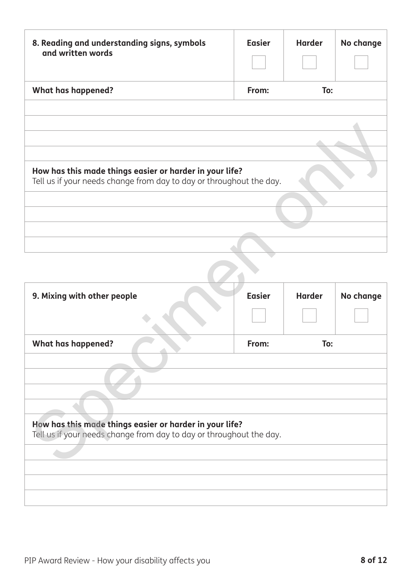| 8. Reading and understanding signs, symbols<br>and written words                                                               | <b>Easier</b> | <b>Harder</b> | No change |  |
|--------------------------------------------------------------------------------------------------------------------------------|---------------|---------------|-----------|--|
| <b>What has happened?</b>                                                                                                      | From:         | To:           |           |  |
|                                                                                                                                |               |               |           |  |
|                                                                                                                                |               |               |           |  |
|                                                                                                                                |               |               |           |  |
|                                                                                                                                |               |               |           |  |
| How has this made things easier or harder in your life?<br>Tell us if your needs change from day to day or throughout the day. |               |               |           |  |
|                                                                                                                                |               |               |           |  |
|                                                                                                                                |               |               |           |  |
|                                                                                                                                |               |               |           |  |
|                                                                                                                                |               |               |           |  |
|                                                                                                                                |               |               |           |  |

| How has this made things easier or harder in your life?                                                                        |               |               |           |
|--------------------------------------------------------------------------------------------------------------------------------|---------------|---------------|-----------|
| Tell us if your needs change from day to day or throughout the day.                                                            |               |               |           |
|                                                                                                                                |               |               |           |
|                                                                                                                                |               |               |           |
|                                                                                                                                |               |               |           |
|                                                                                                                                |               |               |           |
|                                                                                                                                |               |               |           |
|                                                                                                                                |               |               |           |
|                                                                                                                                |               |               |           |
|                                                                                                                                |               |               |           |
|                                                                                                                                |               |               |           |
| 9. Mixing with other people                                                                                                    | <b>Easier</b> | <b>Harder</b> | No change |
|                                                                                                                                |               |               |           |
|                                                                                                                                |               |               |           |
|                                                                                                                                |               |               |           |
| <b>What has happened?</b>                                                                                                      | From:         | To:           |           |
|                                                                                                                                |               |               |           |
|                                                                                                                                |               |               |           |
|                                                                                                                                |               |               |           |
|                                                                                                                                |               |               |           |
|                                                                                                                                |               |               |           |
|                                                                                                                                |               |               |           |
| How has this made things easier or harder in your life?<br>Tell us if your needs change from day to day or throughout the day. |               |               |           |
|                                                                                                                                |               |               |           |
|                                                                                                                                |               |               |           |
|                                                                                                                                |               |               |           |
|                                                                                                                                |               |               |           |
|                                                                                                                                |               |               |           |
|                                                                                                                                |               |               |           |
|                                                                                                                                |               |               |           |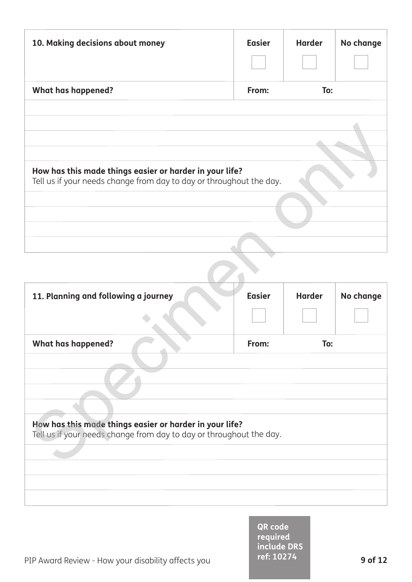| 10. Making decisions about money                                                                                               | <b>Easier</b> | <b>Harder</b> | No change |  |
|--------------------------------------------------------------------------------------------------------------------------------|---------------|---------------|-----------|--|
| <b>What has happened?</b>                                                                                                      | From:         | To:           |           |  |
|                                                                                                                                |               |               |           |  |
|                                                                                                                                |               |               |           |  |
|                                                                                                                                |               |               |           |  |
|                                                                                                                                |               |               |           |  |
| How has this made things easier or harder in your life?<br>Tell us if your needs change from day to day or throughout the day. |               |               |           |  |
|                                                                                                                                |               |               |           |  |
|                                                                                                                                |               |               |           |  |
|                                                                                                                                |               |               |           |  |
|                                                                                                                                |               |               |           |  |

| How has this made things easier or harder in your life?<br>Tell us if your needs change from day to day or throughout the day. |               |               |           |
|--------------------------------------------------------------------------------------------------------------------------------|---------------|---------------|-----------|
|                                                                                                                                |               |               |           |
|                                                                                                                                |               |               |           |
|                                                                                                                                |               |               |           |
|                                                                                                                                |               |               |           |
|                                                                                                                                |               |               |           |
|                                                                                                                                |               |               |           |
|                                                                                                                                |               |               |           |
|                                                                                                                                |               |               |           |
| 11. Planning and following a journey                                                                                           | <b>Easier</b> | <b>Harder</b> | No change |
|                                                                                                                                |               |               |           |
|                                                                                                                                |               |               |           |
| <b>What has happened?</b>                                                                                                      | From:         | To:           |           |
|                                                                                                                                |               |               |           |
|                                                                                                                                |               |               |           |
|                                                                                                                                |               |               |           |
|                                                                                                                                |               |               |           |
|                                                                                                                                |               |               |           |
| How has this made things easier or harder in your life?                                                                        |               |               |           |
| Tell us if your needs change from day to day or throughout the day.                                                            |               |               |           |
|                                                                                                                                |               |               |           |
|                                                                                                                                |               |               |           |
|                                                                                                                                |               |               |           |
|                                                                                                                                |               |               |           |
|                                                                                                                                |               |               |           |

**QR code required include DRS ref: 10274**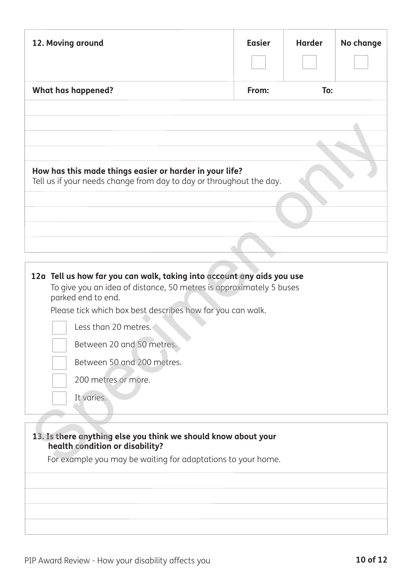| 12. Moving around                                                                                                                                                                                                                                                                                                                                         | <b>Easier</b> | <b>Harder</b> | No change |
|-----------------------------------------------------------------------------------------------------------------------------------------------------------------------------------------------------------------------------------------------------------------------------------------------------------------------------------------------------------|---------------|---------------|-----------|
| <b>What has happened?</b>                                                                                                                                                                                                                                                                                                                                 | From:         | To:           |           |
| How has this made things easier or harder in your life?                                                                                                                                                                                                                                                                                                   |               |               |           |
| Tell us if your needs change from day to day or throughout the day.                                                                                                                                                                                                                                                                                       |               |               |           |
|                                                                                                                                                                                                                                                                                                                                                           |               |               |           |
| 12a Tell us how far you can walk, taking into account any aids you use<br>To give you an idea of distance, 50 metres is approximately 5 buses<br>parked end to end.<br>Please tick which box best describes how far you can walk.<br>Less than 20 metres.<br>Between 20 and 50 metres.<br>Between 50 and 200 metres.<br>200 metres or more.<br>It varies. |               |               |           |
| 13. Is there anything else you think we should know about your<br>health condition or disability?<br>For example you may be waiting for adaptations to your home.                                                                                                                                                                                         |               |               |           |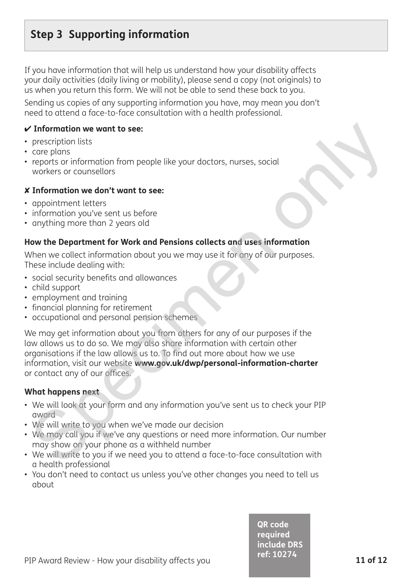## **Step 3 Supporting information**

If you have information that will help us understand how your disability affects your daily activities (daily living or mobility), please send a copy (not originals) to us when you return this form. We will not be able to send these back to you.

Sending us copies of any supporting information you have, may mean you don't need to attend a face-to-face consultation with a health professional.

#### 4 **Information we want to see:**

- prescription lists
- care plans
- reports or information from people like your doctors, nurses, social workers or counsellors

#### 8 **Information we don't want to see:**

- appointment letters
- information you've sent us before
- anything more than 2 years old

#### **How the Department for Work and Pensions collects and uses information**

When we collect information about you we may use it for any of our purposes. These include dealing with:

- social security benefits and allowances
- child support
- employment and training
- financial planning for retirement
- occupational and personal pension schemes

We may get information about you from others for any of our purposes if the law allows us to do so. We may also share information with certain other organisations if the law allows us to. To find out more about how we use information, visit our website **www.gov.uk/dwp/personal-information-charter** or contact any of our offices. **Theormation we want to see:**<br>
prescription lists<br>
care plans<br>
care plans<br>
care plans<br>
care plans<br>
care plans<br>
workers or counsellors<br>
where we considers<br>
information we don't want to see:<br>
information you've sent us befor

#### **What happens next**

- We will look at your form and any information you've sent us to check your PIP award
- We will write to you when we've made our decision
- We may call you if we've any questions or need more information. Our number may show on your phone as a withheld number
- We will write to you if we need you to attend a face-to-face consultation with a health professional
- You don't need to contact us unless you've other changes you need to tell us about

**QR code required include DRS ref: 10274**